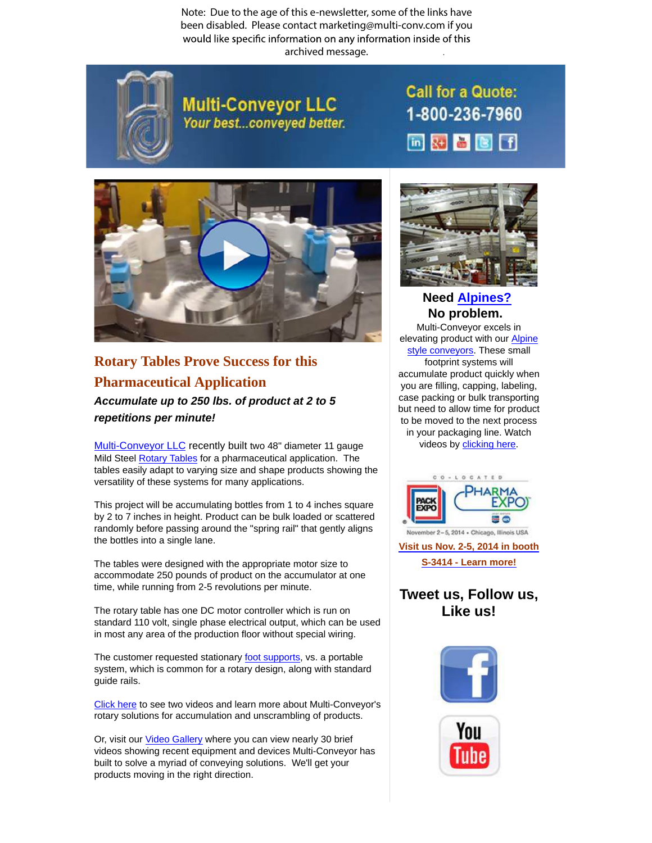Note: Due to the age of this e-newsletter, some of the links have been disabled. Please contact marketing@multi-conv.com if you would like specific information on any information inside of this archived message..



**Multi-Conveyor LLC** Your best...conveyed better. **Call for a Quote:** 1-800-236-7960 画对音图目



**Rotary Tables Prove Success for this [Pharmaceutical](http://www.multi-conveyor.com/conveyors-multi-purpose/rotary-accumulators-and-unscramblers) Application Accumulate up to 250 lbs. of product at 2 to 5**

**repetitions per minute!**

Multi-Conveyor LLC recently built two 48" diameter 11 gauge Mild Steel Rotary Tables for a pharmaceutical application. The tables easily adapt to varying size and shape products showing the versatility of these systems for many applications.

This project will be accumulating bottles from 1 to 4 inches square by 2 to 7 inches in height. Product can be bulk loaded or scattered randomly before passing around the "spring rail" that gently aligns the bottles into a single lane.

The tables were designed with the appropriate motor size to accommodate 250 pounds of product on the accumulator at one time, while running from 2-5 revolutions per minute.

The rotary table has one DC motor controller which is run on standard 110 volt, single phase electrical output, which can be used in most any area of the production floor without special wiring.

The customer requested stationary foot supports, vs. a portable system, which is common for a rotary design, along with standard guide rails.

Click here to see two videos and learn more about Multi-Conveyor's rotary solutions for accumulation and unscrambling of products.

Or, visit our Video Gallery where you can view nearly 30 brief videos showing recent equipment and devices Multi-Conveyor has built to solve a myriad of conveying solutions. We'll get your products moving in the right direction.



## **Need Alpines? No [problem.](http://www.multi-conveyor.com/conveyors-multi-purpose/accumulation-alpine-conveyors)**

Multi-Conveyor excels in elevating product with our **Alpine** style conveyors. These small footprint systems will accumulate product quickly when you are filling, capping, labeling, case packing or bulk transporting but need to allow time for product to be moved to the next process in your packaging line. Watch videos by clicking here.



**Visit us Nov. 2-5, 2014 in booth S-3414 - Learn more!**

## **Tweet us, Follow us, Like us!**